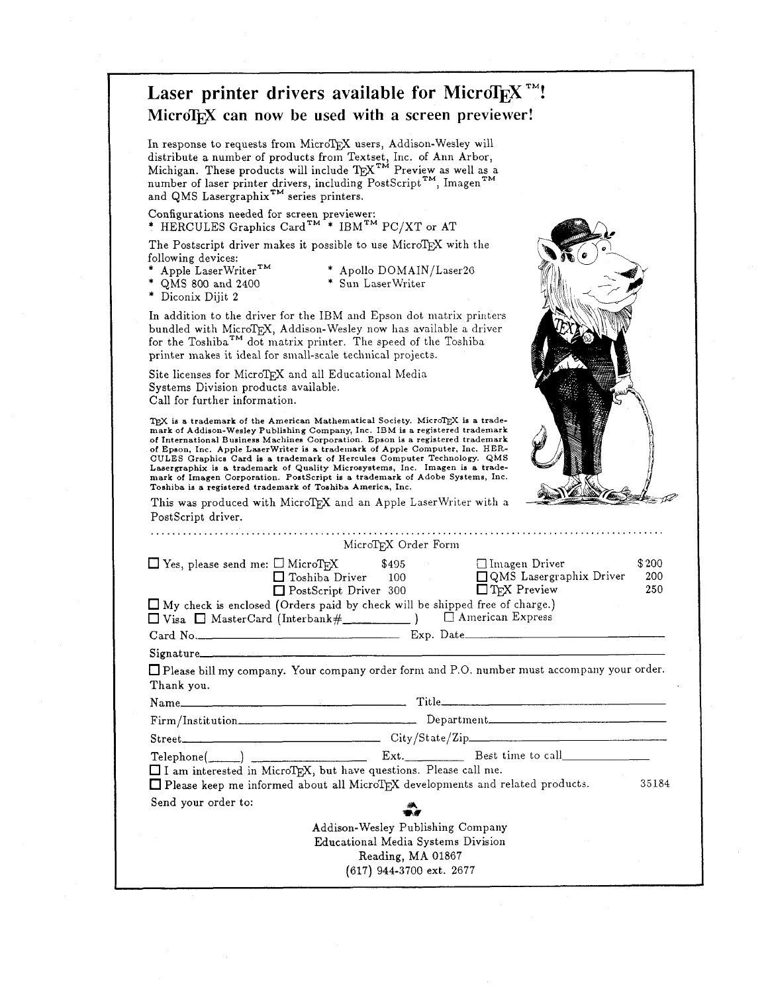|                                                   | Laser printer drivers available for MicroT <sub>F</sub> X <sup>TM</sup> !                                                                                                                                                                                                                                                                                                                                                                                                                                                                                                                |  |
|---------------------------------------------------|------------------------------------------------------------------------------------------------------------------------------------------------------------------------------------------------------------------------------------------------------------------------------------------------------------------------------------------------------------------------------------------------------------------------------------------------------------------------------------------------------------------------------------------------------------------------------------------|--|
| MicroTEX can now be used with a screen previewer! |                                                                                                                                                                                                                                                                                                                                                                                                                                                                                                                                                                                          |  |
|                                                   | In response to requests from MicroTEX users, Addison-Wesley will<br>distribute a number of products from Textset, Inc. of Ann Arbor,<br>Michigan. These products will include $T_{E}X^{TM}$ Preview as well as a<br>number of laser printer drivers, including PostScript <sup>TM</sup> , Imagen <sup>TM</sup><br>and QMS Lasergraphix <sup>TM</sup> series printers.                                                                                                                                                                                                                    |  |
|                                                   | Configurations needed for screen previewer:<br>* HERCULES Graphics Card <sup>TM</sup> <sup>*</sup> IBM <sup>TM</sup> PC/XT or AT                                                                                                                                                                                                                                                                                                                                                                                                                                                         |  |
|                                                   | The Postscript driver makes it possible to use MicroTEX with the<br>following devices:<br>* Apple LaserWriter <sup>TM</sup><br>* QMS 800 and 2400<br>* Apollo DOMAIN/Laser26<br>* Sun LaserWriter<br>* Diconix Dijit 2                                                                                                                                                                                                                                                                                                                                                                   |  |
|                                                   | In addition to the driver for the IBM and Epson dot matrix printers<br>bundled with MicroTEX, Addison-Wesley now has available a driver<br>for the Toshiba <sup>TM</sup> dot matrix printer. The speed of the Toshiba<br>printer makes it ideal for small-scale technical projects.                                                                                                                                                                                                                                                                                                      |  |
|                                                   | Site licenses for MicroTEX and all Educational Media<br>Systems Division products available.<br>Call for further information.                                                                                                                                                                                                                                                                                                                                                                                                                                                            |  |
|                                                   | of International Business Machines Corporation. Epson is a registered trademark<br>of Epson, Inc. Apple LaserWriter is a trademark of Apple Computer, Inc. HER-<br>CULES Graphics Card is a trademark of Hercules Computer Technology. QMS<br>Lasergraphix is a trademark of Quality Microsystems, Inc. Imagen is a trade-<br>mark of Imagen Corporation. PostScript is a trademark of Adobe Systems, Inc.<br>Toshiba is a registered trademark of Toshiba America, Inc.<br>This was produced with MicroTEX and an Apple LaserWriter with a<br>PostScript driver.<br>MicroTEX Order Form |  |
|                                                   |                                                                                                                                                                                                                                                                                                                                                                                                                                                                                                                                                                                          |  |
|                                                   | $\Box$ Yes, please send me: $\Box$ MicroTFX<br>□ Imagen Driver<br>\$495<br>\$200<br>□ Toshiba Driver<br>100<br>□ QMS Lasergraphix Driver                                                                                                                                                                                                                                                                                                                                                                                                                                                 |  |
|                                                   | 200<br>250<br>PostScript Driver 300<br>$\Box$ T <sub>F</sub> X Preview<br>$\Box$ My check is enclosed (Orders paid by check will be shipped free of charge.)<br>□ American Express                                                                                                                                                                                                                                                                                                                                                                                                       |  |
|                                                   |                                                                                                                                                                                                                                                                                                                                                                                                                                                                                                                                                                                          |  |
|                                                   |                                                                                                                                                                                                                                                                                                                                                                                                                                                                                                                                                                                          |  |
|                                                   | Please bill my company. Your company order form and P.O. number must accompany your order.<br>Thank you.                                                                                                                                                                                                                                                                                                                                                                                                                                                                                 |  |
|                                                   |                                                                                                                                                                                                                                                                                                                                                                                                                                                                                                                                                                                          |  |
|                                                   | Name                                                                                                                                                                                                                                                                                                                                                                                                                                                                                                                                                                                     |  |
|                                                   |                                                                                                                                                                                                                                                                                                                                                                                                                                                                                                                                                                                          |  |
|                                                   | I I am interested in MicroTEX, but have questions. Please call me.<br>□ Please keep me informed about all MicroTEX developments and related products.<br>35184                                                                                                                                                                                                                                                                                                                                                                                                                           |  |
|                                                   | Send your order to:<br>$\sum\limits_{i=1}^{N}$                                                                                                                                                                                                                                                                                                                                                                                                                                                                                                                                           |  |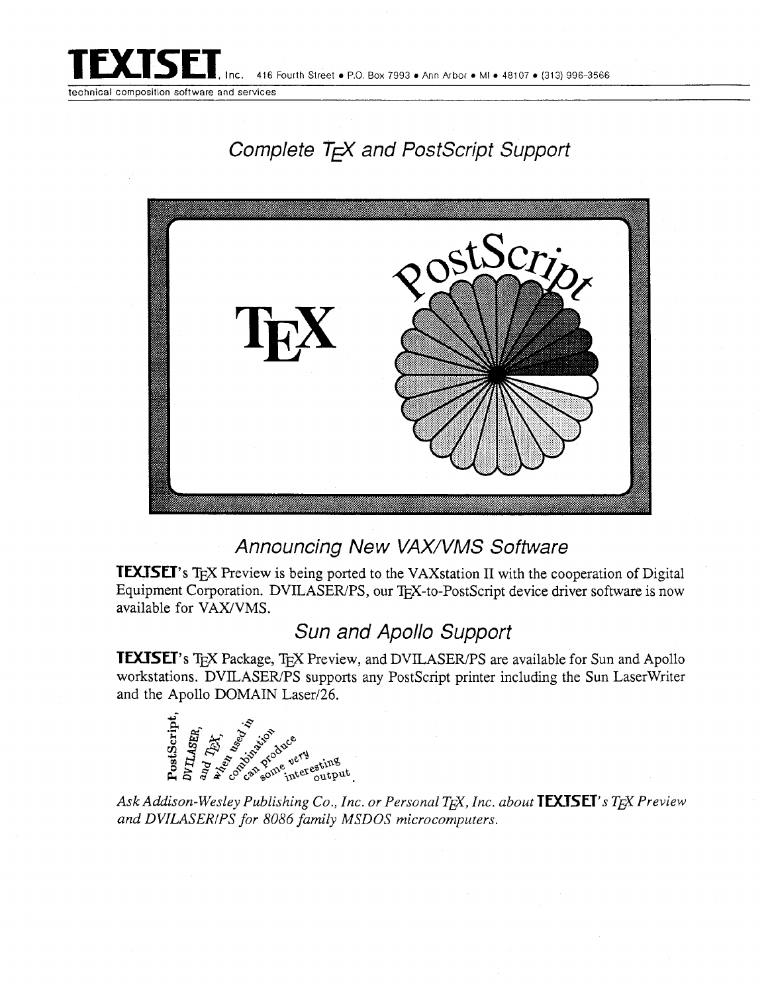

technical composition software and services

## Complete TFX and PostScript Support



## Announcing New VAX/VMS Software

TEXISET's TEX Preview is being ported to the VAXstation II with the cooperation of Digital Equipment Corporation. DVILASER/PS, our TEX-to-PostScript device driver software is now available for VAX/VMS.

## Sun and Apollo Support

**TEXISET's TEX Package, TEX Preview, and DVILASER/PS are available for Sun and Apollo** workstations. DVILASER/PS supports any PostScript printer including the Sun LaserWriter and the Apollo DOMAIN Laser/26.



*and DVILASERIPS for 8086 family MSDOS microcomputers.*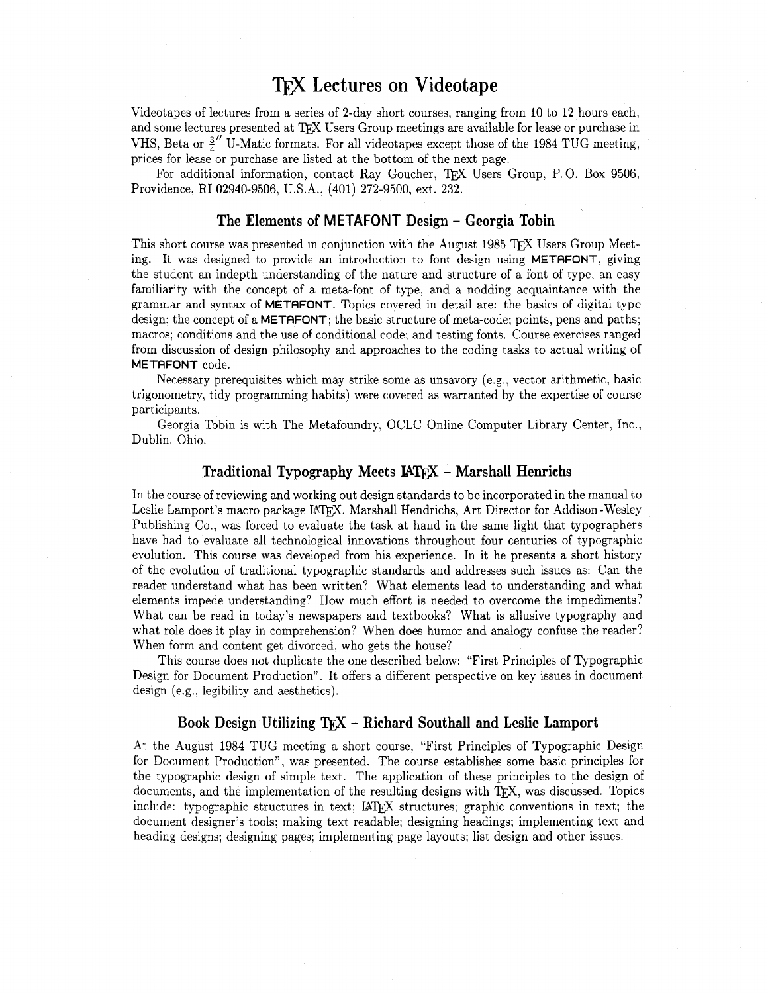## **Lectures on Videotape**

Videotapes of lectures from a series of 2-day short courses, ranging from 10 to 12 hours each, and some lectures presented at TFX Users Group meetings are available for lease or purchase in VHS, Beta or  $\frac{3}{4}$  U-Matic formats. For all videotapes except those of the 1984 TUG meeting, prices for lease or purchase are listed at the bottom of the next page.

For additional information, contact Ray Goucher, TEX Users Group, P. 0. Box 9506, Providence, RI 02940-9506, U.S.A., (401) 272-9500, ext. 232.

#### **The Elements of M ETAFONT Design** - **Georgia Tobin**

This short course was presented in conjunction with the August 1985 TEX Users Group Meeting. It was designed to provide an introduction to font design using METAFONT, giving the student an indepth understanding of the nature and structure of a font of type, an easy familiarity with the concept of a meta-font of type, and a nodding acquaintance with the grammar and syntax of METAFONT. Topics covered in detail are: the basics of digital type design; the concept of a **METAFONT**; the basic structure of meta-code; points, pens and paths; macros; conditions and the use of conditional code; and testing fonts. Course exercises ranged from discussion of design philosophy and approaches to the coding tasks to actual writing of METAFONT code.

Necessary prerequisites which may strike some as unsavory (e.g., vector arithmetic, basic trigonometry, tidy programming habits) were covered as warranted by the expertise of course participants.

Georgia Tobin is with The Metafoundry, OCLC Online Computer Library Center, Inc., Dublin, Ohio.

#### **Traditional Typography Meets IATFX – Marshall Henrichs**

In the course of reviewing and working out design standards to be incorporated in the manual to Leslie Lamport's macro package IATEX, Marshall Hendrichs, Art Director for Addison-Wesley Publishing Co., was forced to evaluate the task at hand in the same light that typographers have had to evaluate all technological innovations throughout four centuries of typographic evolution. This course was developed from his experience. In it he presents a short history of the evolution of traditional typographic standards and addresses such issues as: Can the reader understand what has been written? What elements lead to understanding and what elements impede understanding? How much effort is needed to overcome the impediments? What can be read in today's newspapers and textbooks? What is allusive typography and what role does it play in comprehension? When does humor and analogy confuse the reader? When form and content get divorced, who gets the house?

This course does not duplicate the one described below: "First Principles of Typographic Design for Document Production". It offers a different perspective on key issues in document design (e.g., legibility and aesthetics).

#### Book Design Utilizing TFX - Richard Southall and Leslie Lamport

At the August 1984 TUG meeting a short course. "First Principles of Typographic Design for Document Production", was presented. The course establishes some basic principles for the typographic design of simple text. The application of these principles to the design of documents, and the implementation of the resulting designs with TEX, was discussed. Topics include: typographic structures in text; IATEX structures; graphic conventions in text; the document designer's tools; making text readable; designing headings; implementing text and heading designs; designing pages; implementing page layouts; list design and other issues.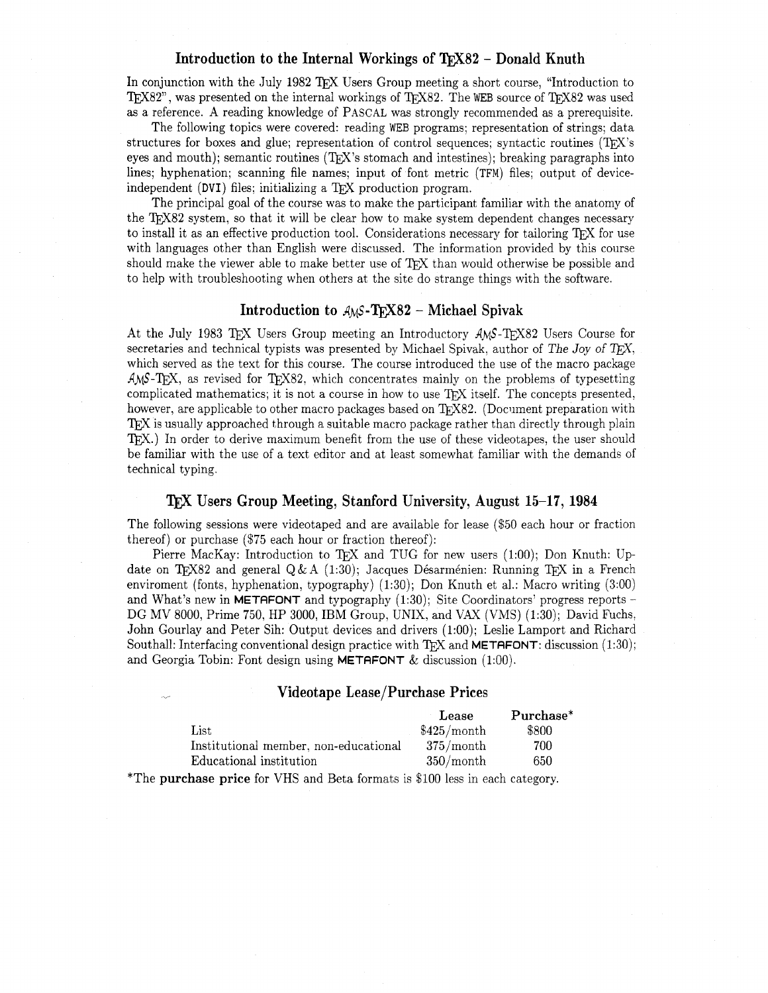#### **Introduction to the Internal Workings of TrX82 - Donald Knuth**

In conjunction with the July 1982 TFX Users Group meeting a short course, "Introduction to TEX82", was presented on the internal workings of TEX82. The WEB source of TEX82 was used as a reference. A reading knowledge of PASCAL was strongly recommended as a prerequisite.

The following topics were covered: reading WEB programs; representation of strings; data structures for boxes and glue; representation of control sequences; syntactic routines  $(T \nvert X)$ 's eyes and mouth); semantic routines  $(TF X)$ 's stomach and intestines); breaking paragraphs into lines; hyphenation; scanning file names; input of font metric (TFM) files; output of deviceindependent (DVI) files; initializing a T<sub>F</sub>X production program.

The principal goal of the course was to make the participant familiar with the anatomy of the T<sub>FX82</sub> system, so that it will be clear how to make system dependent changes necessary to install it as an effective production tool. Considerations necessary for tailoring T<sub>F</sub>X for use with languages other than English were discussed. The information provided by this course should make the viewer able to make better use of TFX than would otherwise be possible and to help with troubleshooting when others at the site do strange things with the software.

#### **Introduction to** A<sub>M</sub>S-T<sub>F</sub>X82 - Michael Spivak

At the July 1983 TFX Users Group meeting an Introductory AMS-TFX82 Users Course for secretaries and technical typists was presented by Michael Spivak, author of The Joy of T<sub>E</sub>X, which served as the text for this course. The course introduced the use of the macro package  $AMS$ -T<sub>E</sub>X, as revised for T<sub>E</sub>X82, which concentrates mainly on the problems of typesetting complicated mathematics; it is not a course in how to use TFX itself. The concepts presented, however, are applicable to other macro packages based on TFX82. (Document preparation with **IFX** is usually approached through a suitable macro package rather than directly through plain TFX.) In order to derive maximum benefit from the use of these videotapes, the user should be familiar with the use of a text editor and at least somewhat familiar with the demands of technical typing.

#### **Users Group Meeting, Stanford University, August 15-17,** 1984

The following sessions were videotaped and are available for lease (\$50 each hour or fraction thereof) or purchase (\$75 each hour or fraction thereof):

Pierre MacKay: Introduction to TEX and TUG for new users (1:00); Don Knuth: Up-<br>date on TEX82 and general Q&A (1:30); Jacques Désarménien: Running TEX in a French enviroment (fonts, hyphenation, typography) (1:30); Don Knuth et al.: Macro writing (3:OO) and What's new in METAFONT and typography (1:30); Site Coordinators' progress reports - DG MV 8000, Prime 750, HP 3000, IBM Group, UNIX, and VAX (VMS) (1:30); David Fuchs, John Gourlay and Peter Sih: Output devices and drivers (1:OO); Leslie Lamport and Richard Southall: Interfacing conventional design practice with TFX and **METAFONT**: discussion  $(1:30)$ ; and Georgia Tobin: Font design using **METAFONT**  $\&$  discussion (1:00).

#### **Videotape Lease/Purchase Prices**

|                                       | Lease       | Purchase* |
|---------------------------------------|-------------|-----------|
| List                                  | \$425/month | \$800     |
| Institutional member, non-educational | 375/month   | 700       |
| Educational institution               | 350/month   | 650       |

\*The purchase price for VHS and Beta formats is \$100 less in each category.